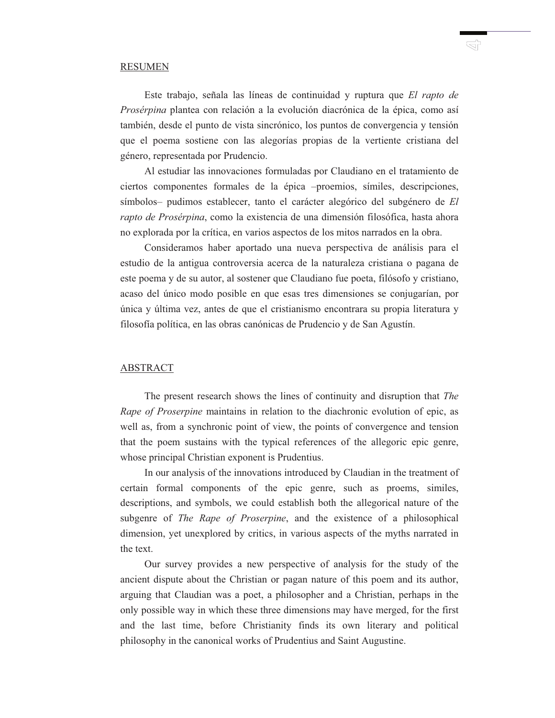## RESUMEN

Este trabajo, señala las líneas de continuidad y ruptura que *El rapto de Prosérpina* plantea con relación a la evolución diacrónica de la épica, como así también, desde el punto de vista sincrónico, los puntos de convergencia y tensión que el poema sostiene con las alegorías propias de la vertiente cristiana del género, representada por Prudencio.

Al estudiar las innovaciones formuladas por Claudiano en el tratamiento de ciertos componentes formales de la épica –proemios, símiles, descripciones, símbolos– pudimos establecer, tanto el carácter alegórico del subgénero de *El rapto de Prosérpina*, como la existencia de una dimensión filosófica, hasta ahora no explorada por la crítica, en varios aspectos de los mitos narrados en la obra.

Consideramos haber aportado una nueva perspectiva de análisis para el estudio de la antigua controversia acerca de la naturaleza cristiana o pagana de este poema y de su autor, al sostener que Claudiano fue poeta, filósofo y cristiano, acaso del único modo posible en que esas tres dimensiones se conjugarían, por única y última vez, antes de que el cristianismo encontrara su propia literatura y filosofía política, en las obras canónicas de Prudencio y de San Agustín.

## ABSTRACT

The present research shows the lines of continuity and disruption that *The Rape of Proserpine* maintains in relation to the diachronic evolution of epic, as well as, from a synchronic point of view, the points of convergence and tension that the poem sustains with the typical references of the allegoric epic genre, whose principal Christian exponent is Prudentius.

In our analysis of the innovations introduced by Claudian in the treatment of certain formal components of the epic genre, such as proems, similes, descriptions, and symbols, we could establish both the allegorical nature of the subgenre of *The Rape of Proserpine*, and the existence of a philosophical dimension, yet unexplored by critics, in various aspects of the myths narrated in the text.

Our survey provides a new perspective of analysis for the study of the ancient dispute about the Christian or pagan nature of this poem and its author, arguing that Claudian was a poet, a philosopher and a Christian, perhaps in the only possible way in which these three dimensions may have merged, for the first and the last time, before Christianity finds its own literary and political philosophy in the canonical works of Prudentius and Saint Augustine.

КĻ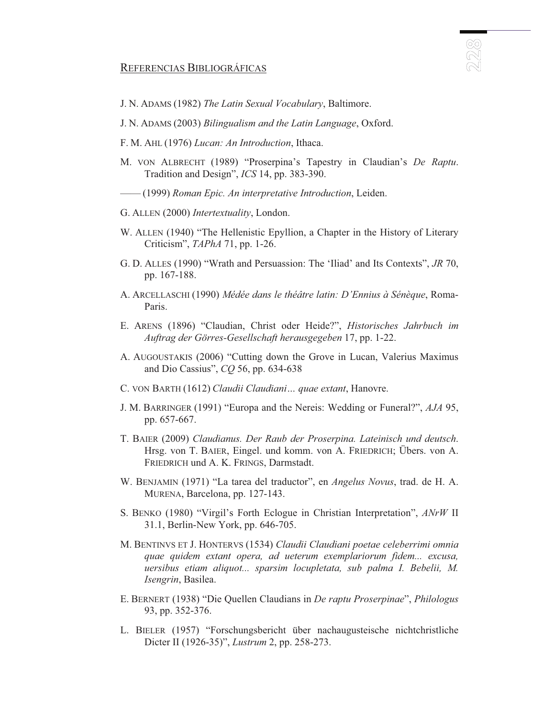## REFERENCIAS BIBLIOGRÁFICAS

- J. N. ADAMS (1982) *The Latin Sexual Vocabulary*, Baltimore.
- J. N. ADAMS (2003) *Bilingualism and the Latin Language*, Oxford.
- F. M. AHL (1976) *Lucan: An Introduction*, Ithaca.
- M. VON ALBRECHT (1989) "Proserpina's Tapestry in Claudian's *De Raptu*. Tradition and Design", *ICS* 14, pp. 383-390.
	- —— (1999) *Roman Epic. An interpretative Introduction*, Leiden.
- G. ALLEN (2000) *Intertextuality*, London.
- W. ALLEN (1940) "The Hellenistic Epyllion, a Chapter in the History of Literary Criticism", *TAPhA* 71, pp. 1-26.
- G. D. ALLES (1990) "Wrath and Persuassion: The 'Iliad' and Its Contexts", *JR* 70, pp. 167-188.
- A. ARCELLASCHI (1990) *Médée dans le théâtre latin: D'Ennius à Sénèque*, Roma-Paris.
- E. ARENS (1896) "Claudian, Christ oder Heide?", *Historisches Jahrbuch im Auftrag der Görres-Gesellschaft herausgegeben* 17, pp. 1-22.
- A. AUGOUSTAKIS (2006) "Cutting down the Grove in Lucan, Valerius Maximus and Dio Cassius", *CQ* 56, pp. 634-638
- C. VON BARTH (1612) *Claudii Claudiani… quae extant*, Hanovre.
- J. M. BARRINGER (1991) "Europa and the Nereis: Wedding or Funeral?", *AJA* 95, pp. 657-667.
- T. BAIER (2009) *Claudianus. Der Raub der Proserpina. Lateinisch und deutsch*. Hrsg. von T. BAIER, Eingel. und komm. von A. FRIEDRICH; Übers. von A. FRIEDRICH und A. K. FRINGS, Darmstadt.
- W. BENJAMIN (1971) "La tarea del traductor", en *Angelus Novus*, trad. de H. A. MURENA, Barcelona, pp. 127-143.
- S. BENKO (1980) "Virgil's Forth Eclogue in Christian Interpretation", *ANrW* II 31.1, Berlin-New York, pp. 646-705.
- M. BENTINVS ET J. HONTERVS (1534) *Claudii Claudiani poetae celeberrimi omnia quae quidem extant opera, ad ueterum exemplariorum fidem... excusa, uersibus etiam aliquot... sparsim locupletata, sub palma I. Bebelii, M. Isengrin*, Basilea.
- E. BERNERT (1938) "Die Quellen Claudians in *De raptu Proserpinae*", *Philologus* 93, pp. 352-376.
- L. BIELER (1957) "Forschungsbericht über nachaugusteische nichtchristliche Dicter II (1926-35)", *Lustrum* 2, pp. 258-273.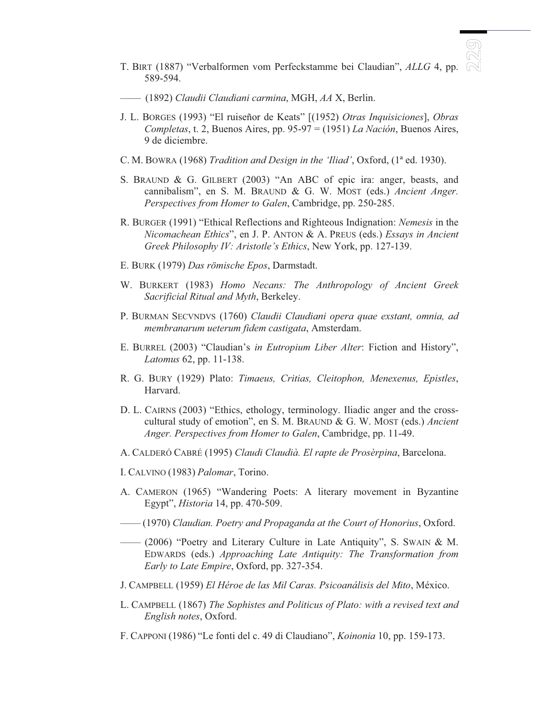T. BIRT (1887) "Verbalformen vom Perfeckstamme bei Claudian", *ALLG* 4, pp. 589-594.

 $\circledR$ 

- —— (1892) *Claudii Claudiani carmina*, MGH, *AA* X, Berlin.
- J. L. BORGES (1993) "El ruiseñor de Keats" [(1952) *Otras Inquisiciones*], *Obras Completas*, t. 2, Buenos Aires, pp. 95-97 = (1951) *La Nación*, Buenos Aires, 9 de diciembre.
- C. M. BOWRA (1968) *Tradition and Design in the 'Iliad'*, Oxford, (1ª ed. 1930).
- S. BRAUND & G. GILBERT (2003) "An ABC of epic ira: anger, beasts, and cannibalism", en S. M. BRAUND & G. W. MOST (eds.) *Ancient Anger. Perspectives from Homer to Galen*, Cambridge, pp. 250-285.
- R. BURGER (1991) "Ethical Reflections and Righteous Indignation: *Nemesis* in the *Nicomachean Ethics*", en J. P. ANTON & A. PREUS (eds.) *Essays in Ancient Greek Philosophy IV: Aristotle's Ethics*, New York, pp. 127-139.
- E. BURK (1979) *Das römische Epos*, Darmstadt.
- W. BURKERT (1983) *Homo Necans: The Anthropology of Ancient Greek Sacrificial Ritual and Myth*, Berkeley.
- P. BURMAN SECVNDVS (1760) *Claudii Claudiani opera quae exstant, omnia, ad membranarum ueterum fidem castigata*, Amsterdam.
- E. BURREL (2003) "Claudian's *in Eutropium Liber Alter*: Fiction and History", *Latomus* 62, pp. 11-138.
- R. G. BURY (1929) Plato: *Timaeus, Critias, Cleitophon, Menexenus, Epistles*, Harvard.
- D. L. CAIRNS (2003) "Ethics, ethology, terminology. Iliadic anger and the crosscultural study of emotion", en S. M. BRAUND & G. W. MOST (eds.) *Ancient Anger. Perspectives from Homer to Galen*, Cambridge, pp. 11-49.
- A. CALDERÓ CABRÉ (1995) *Claudi Claudià. El rapte de Prosèrpina*, Barcelona.
- I. CALVINO (1983) *Palomar*, Torino.
- A. CAMERON (1965) "Wandering Poets: A literary movement in Byzantine Egypt", *Historia* 14, pp. 470-509.
- —— (1970) *Claudian. Poetry and Propaganda at the Court of Honorius*, Oxford.
- —— (2006) "Poetry and Literary Culture in Late Antiquity", S. SWAIN & M. EDWARDS (eds.) *Approaching Late Antiquity: The Transformation from Early to Late Empire*, Oxford, pp. 327-354.
- J. CAMPBELL (1959) *El Héroe de las Mil Caras. Psicoanálisis del Mito*, México.
- L. CAMPBELL (1867) *The Sophistes and Politicus of Plato: with a revised text and English notes*, Oxford.
- F. CAPPONI (1986) "Le fonti del c. 49 di Claudiano", *Koinonia* 10, pp. 159-173.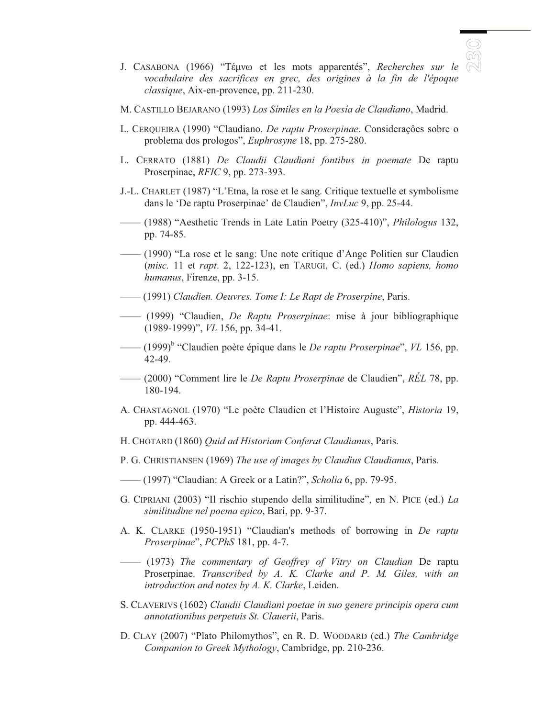

- J. CASABONA (1966) "Téuvo et les mots apparentés", *Recherches sur le* <sup>(</sup> *vocabulaire des sacrifices en grec, des origines à la fin de l'époque classique*, Aix-en-provence, pp. 211-230.
- M. CASTILLO BEJARANO (1993) *Los Símiles en la Poesía de Claudiano*, Madrid.
- L. CERQUEIRA (1990) "Claudiano. *De raptu Proserpinae*. Consideraçôes sobre o problema dos prologos", *Euphrosyne* 18, pp. 275-280.
- L. CERRATO (1881) *De Claudii Claudiani fontibus in poemate* De raptu Proserpinae, *RFIC* 9, pp. 273-393.
- J.-L. CHARLET (1987) "L'Etna, la rose et le sang. Critique textuelle et symbolisme dans le 'De raptu Proserpinae' de Claudien", *InvLuc* 9, pp. 25-44.
- —— (1988) "Aesthetic Trends in Late Latin Poetry (325-410)", *Philologus* 132, pp. 74-85.
- —— (1990) "La rose et le sang: Une note critique d'Ange Politien sur Claudien (*misc.* 11 et *rapt*. 2, 122-123), en TARUGI, C. (ed.) *Homo sapiens, homo humanus*, Firenze, pp. 3-15.
- —— (1991) *Claudien. Oeuvres. Tome I: Le Rapt de Proserpine*, Paris.
- —— (1999) "Claudien, *De Raptu Proserpinae*: mise à jour bibliographique (1989-1999)", *VL* 156, pp. 34-41.
- —— (1999)<sup>b</sup> "Claudien poète épique dans le *De raptu Proserpinae*", *VL* 156, pp. 42-49.
- —— (2000) "Comment lire le *De Raptu Proserpinae* de Claudien", *RÉL* 78, pp. 180-194.
- A. CHASTAGNOL (1970) "Le poète Claudien et l'Histoire Auguste", *Historia* 19, pp. 444-463.
- H. CHOTARD (1860) *Quid ad Historiam Conferat Claudianus*, Paris.
- P. G. CHRISTIANSEN (1969) *The use of images by Claudius Claudianus*, Paris.
- —— (1997) "Claudian: A Greek or a Latin?", *Scholia* 6, pp. 79-95.
- G. CIPRIANI (2003) "Il rischio stupendo della similitudine", en N. PICE (ed.) *La similitudine nel poema epico*, Bari, pp. 9-37.
- A. K. CLARKE (1950-1951) "Claudian's methods of borrowing in *De raptu Proserpinae*", *PCPhS* 181, pp. 4-7.
- —— (1973) *The commentary of Geoffrey of Vitry on Claudian* De raptu Proserpinae. *Transcribed by A. K. Clarke and P. M. Giles, with an introduction and notes by A. K. Clarke*, Leiden.
- S. CLAVERIVS (1602) *Claudii Claudiani poetae in suo genere principis opera cum annotationibus perpetuis St. Clauerii*, Paris.
- D. CLAY (2007) "Plato Philomythos", en R. D. WOODARD (ed.) *The Cambridge Companion to Greek Mythology*, Cambridge, pp. 210-236.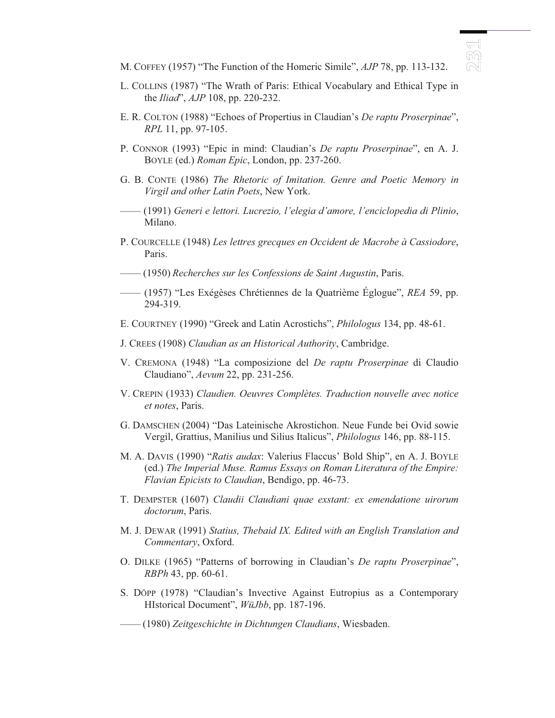- M. COFFEY (1957) "The Function of the Homeric Simile", *AJP* 78, pp. 113-132.
- L. COLLINS (1987) "The Wrath of Paris: Ethical Vocabulary and Ethical Type in the *Iliad*", *AJP* 108, pp. 220-232.
- E. R. COLTON (1988) "Echoes of Propertius in Claudian's *De raptu Proserpinae*", *RPL* 11, pp. 97-105.
- P. CONNOR (1993) "Epic in mind: Claudian's *De raptu Proserpinae*", en A. J. BOYLE (ed.) *Roman Epic*, London, pp. 237-260.
- G. B. CONTE (1986) *The Rhetoric of Imitation. Genre and Poetic Memory in Virgil and other Latin Poets*, New York.
- —— (1991) *Generi e lettori. Lucrezio, l'elegia d'amore, l'enciclopedia di Plinio*, Milano.
- P. COURCELLE (1948) *Les lettres grecques en Occident de Macrobe à Cassiodore*, Paris.
- —— (1950) *Recherches sur les Confessions de Saint Augustin*, Paris.
- —— (1957) "Les Exégèses Chrétiennes de la Quatrième Églogue", *REA* 59, pp. 294-319.
- E. COURTNEY (1990) "Greek and Latin Acrostichs", *Philologus* 134, pp. 48-61.
- J. CREES (1908) *Claudian as an Historical Authority*, Cambridge.
- V. CREMONA (1948) "La composizione del *De raptu Proserpinae* di Claudio Claudiano", *Aevum* 22, pp. 231-256.
- V. CREPIN (1933) *Claudien. Oeuvres Complètes. Traduction nouvelle avec notice et notes*, Paris.
- G. DAMSCHEN (2004) "Das Lateinische Akrostichon. Neue Funde bei Ovid sowie Vergil, Grattius, Manilius und Silius Italicus", *Philologus* 146, pp. 88-115.
- M. A. DAVIS (1990) "*Ratis audax*: Valerius Flaccus' Bold Ship", en A. J. BOYLE (ed.) *The Imperial Muse. Ramus Essays on Roman Literatura of the Empire: Flavian Epicists to Claudian*, Bendigo, pp. 46-73.
- T. DEMPSTER (1607) *Claudii Claudiani quae exstant: ex emendatione uirorum doctorum*, Paris.
- M. J. DEWAR (1991) *Statius, Thebaid IX. Edited with an English Translation and Commentary*, Oxford.
- O. DILKE (1965) "Patterns of borrowing in Claudian's *De raptu Proserpinae*", *RBPh* 43, pp. 60-61.
- S. DÖPP (1978) "Claudian's Invective Against Eutropius as a Contemporary HIstorical Document", *WüJbb*, pp. 187-196.
- —— (1980) *Zeitgeschichte in Dichtungen Claudians*, Wiesbaden.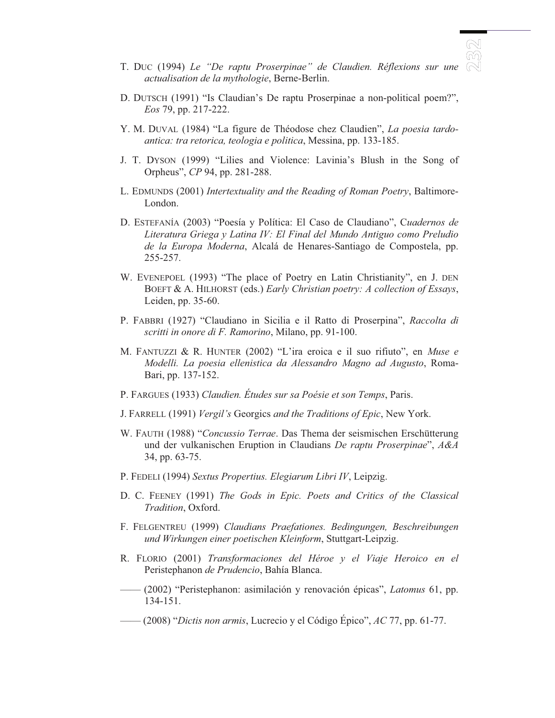- T. DUC (1994) *Le "De raptu Proserpinae" de Claudien. Réflexions sur une actualisation de la mythologie*, Berne-Berlin.
- D. DUTSCH (1991) "Is Claudian's De raptu Proserpinae a non-political poem?", *Eos* 79, pp. 217-222.
- Y. M. DUVAL (1984) "La figure de Théodose chez Claudien", *La poesia tardoantica: tra retorica, teologia e politica*, Messina, pp. 133-185.
- J. T. DYSON (1999) "Lilies and Violence: Lavinia's Blush in the Song of Orpheus", *CP* 94, pp. 281-288.
- L. EDMUNDS (2001) *Intertextuality and the Reading of Roman Poetry*, Baltimore-London.
- D. ESTEFANÍA (2003) "Poesía y Política: El Caso de Claudiano", C*uadernos de Literatura Griega y Latina IV: El Final del Mundo Antiguo como Preludio de la Europa Moderna*, Alcalá de Henares-Santiago de Compostela, pp. 255-257.
- W. EVENEPOEL (1993) "The place of Poetry en Latin Christianity", en J. DEN BOEFT & A. HILHORST (eds.) *Early Christian poetry: A collection of Essays*, Leiden, pp. 35-60.
- P. FABBRI (1927) "Claudiano in Sicilia e il Ratto di Proserpina", *Raccolta di scritti in onore di F. Ramorino*, Milano, pp. 91-100.
- M. FANTUZZI & R. HUNTER (2002) "L'ira eroica e il suo rifiuto", en *Muse e Modelli. La poesia ellenistica da Alessandro Magno ad Augusto*, Roma-Bari, pp. 137-152.
- P. FARGUES (1933) *Claudien. Études sur sa Poésie et son Temps*, Paris.
- J. FARRELL (1991) *Vergil's* Georgics *and the Traditions of Epic*, New York.
- W. FAUTH (1988) "*Concussio Terrae*. Das Thema der seismischen Erschütterung und der vulkanischen Eruption in Claudians *De raptu Proserpinae*", *A&A* 34, pp. 63-75.
- P. FEDELI (1994) *Sextus Propertius. Elegiarum Libri IV*, Leipzig.
- D. C. FEENEY (1991) *The Gods in Epic. Poets and Critics of the Classical Tradition*, Oxford.
- F. FELGENTREU (1999) *Claudians Praefationes. Bedingungen, Beschreibungen und Wirkungen einer poetischen Kleinform*, Stuttgart-Leipzig.
- R. FLORIO (2001) *Transformaciones del Héroe y el Viaje Heroico en el* Peristephanon *de Prudencio*, Bahía Blanca.
- —— (2002) "Peristephanon: asimilación y renovación épicas", *Latomus* 61, pp. 134-151.
- —— (2008) "*Dictis non armis*, Lucrecio y el Código Épico", *AC* 77, pp. 61-77.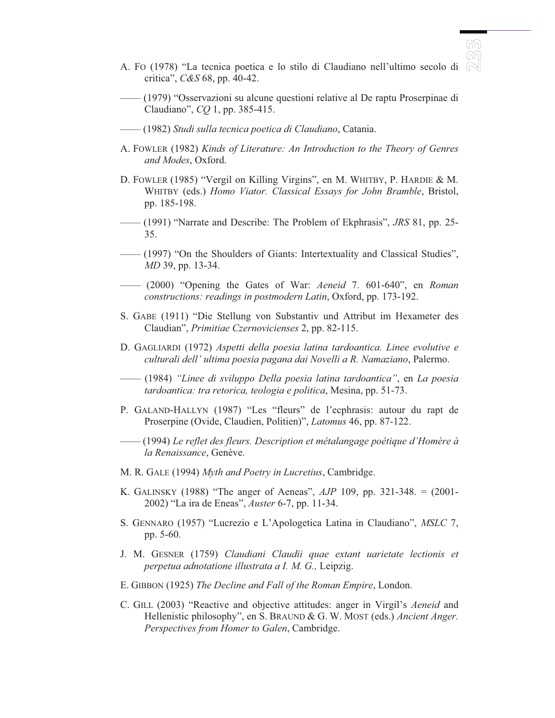- A. FO (1978) "La tecnica poetica e lo stilo di Claudiano nell'ultimo secolo di critica", *C&S* 68, pp. 40-42.
- —— (1979) "Osservazioni su alcune questioni relative al De raptu Proserpinae di Claudiano", *CQ* 1, pp. 385-415.
- —— (1982) *Studi sulla tecnica poetica di Claudiano*, Catania.
- A. FOWLER (1982) *Kinds of Literature: An Introduction to the Theory of Genres and Modes*, Oxford.
- D. FOWLER (1985) "Vergil on Killing Virgins", en M. WHITBY, P. HARDIE & M. WHITBY (eds.) *Homo Viator. Classical Essays for John Bramble*, Bristol, pp. 185-198.
- —— (1991) "Narrate and Describe: The Problem of Ekphrasis", *JRS* 81, pp. 25- 35.
- —— (1997) "On the Shoulders of Giants: Intertextuality and Classical Studies", *MD* 39, pp. 13-34.
- —— (2000) "Opening the Gates of War: *Aeneid* 7. 601-640", en *Roman constructions: readings in postmodern Latin*, Oxford, pp. 173-192.
- S. GABE (1911) "Die Stellung von Substantiv und Attribut im Hexameter des Claudian", *Primitiae Czernovicienses* 2, pp. 82-115.
- D. GAGLIARDI (1972) *Aspetti della poesia latina tardoantica. Linee evolutive e culturali dell' ultima poesia pagana dai Novelli a R. Namaziano*, Palermo.
- —— (1984) *"Linee di sviluppo Della poesia latina tardoantica"*, en *La poesia tardoantica: tra retorica, teologia e politica*, Mesina, pp. 51-73.
- P. GALAND-HALLYN (1987) "Les "fleurs" de l'ecphrasis: autour du rapt de Proserpine (Ovide, Claudien, Politien)", *Latomus* 46, pp. 87-122.
- —— (1994) *Le reflet des fleurs. Description et métalangage poétique d'Homère à la Renaissance*, Genève.
- M. R. GALE (1994) *Myth and Poetry in Lucretius*, Cambridge.
- K. GALINSKY (1988) "The anger of Aeneas", *AJP* 109, pp. 321-348. = (2001- 2002) "La ira de Eneas", *Auster* 6-7, pp. 11-34.
- S. GENNARO (1957) "Lucrezio e L'Apologetica Latina in Claudiano", *MSLC* 7, pp. 5-60.
- J. M. GESNER (1759) *Claudiani Claudii quae extant uarietate lectionis et perpetua adnotatione illustrata a I. M. G.,* Leipzig.
- E. GIBBON (1925) *The Decline and Fall of the Roman Empire*, London.
- C. GILL (2003) "Reactive and objective attitudes: anger in Virgil's *Aeneid* and Hellenistic philosophy", en S. BRAUND & G. W. MOST (eds.) *Ancient Anger. Perspectives from Homer to Galen*, Cambridge.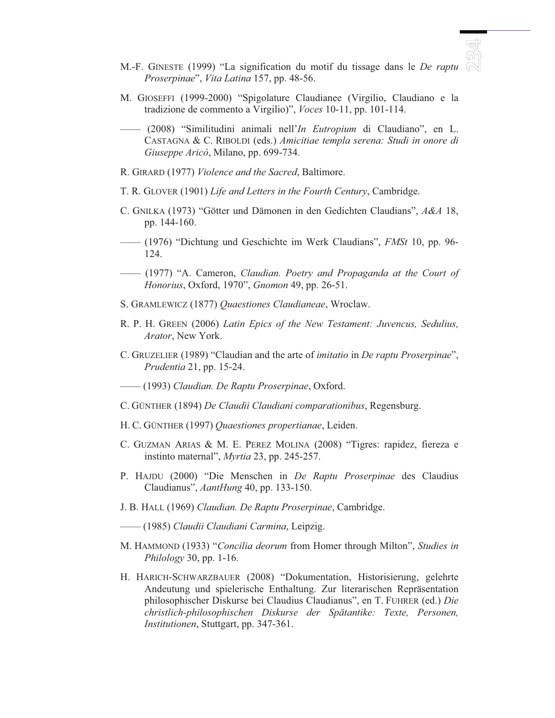- M.-F. GINESTE (1999) "La signification du motif du tissage dans le *De raptu Proserpinae*", *Vita Latina* 157, pp. 48-56.
- M. GIOSEFFI (1999-2000) "Spigolature Claudianee (Virgilio, Claudiano e la tradizione de commento a Virgilio)", *Voces* 10-11, pp. 101-114.
- —— (2008) "Similitudini animali nell'*In Eutropium* di Claudiano", en L. CASTAGNA & C. RIBOLDI (eds.) *Amicitiae templa serena: Studi in onore di Giuseppe Aricò*, Milano, pp. 699-734.
- R. GIRARD (1977) *Violence and the Sacred*, Baltimore.
- T. R. GLOVER (1901) *Life and Letters in the Fourth Century*, Cambridge.
- C. GNILKA (1973) "Götter und Dämonen in den Gedichten Claudians", *A&A* 18, pp. 144-160.
- —— (1976) "Dichtung und Geschichte im Werk Claudians", *FMSt* 10, pp. 96- 124.
- —— (1977) "A. Cameron, *Claudian. Poetry and Propaganda at the Court of Honorius*, Oxford, 1970", *Gnomon* 49, pp. 26-51.
- S. GRAMLEWICZ (1877) *Quaestiones Claudianeae*, Wroclaw.
- R. P. H. GREEN (2006) *Latin Epics of the New Testament: Juvencus, Sedulius, Arator*, New York.
- C. GRUZELIER (1989) "Claudian and the arte of *imitatio* in *De raptu Proserpinae*", *Prudentia* 21, pp. 15-24.
- —— (1993) *Claudian. De Raptu Proserpinae*, Oxford.
- C. GÜNTHER (1894) *De Claudii Claudiani comparationibus*, Regensburg.
- H. C. GÜNTHER (1997) *Quaestiones propertianae*, Leiden.
- C. GUZMAN ARIAS & M. E. PEREZ MOLINA (2008) "Tigres: rapidez, fiereza e instinto maternal", *Myrtia* 23, pp. 245-257.
- P. HAJDU (2000) "Die Menschen in *De Raptu Proserpinae* des Claudius Claudianus", *AantHung* 40, pp. 133-150.
- J. B. HALL (1969) *Claudian. De Raptu Proserpinae*, Cambridge.
- —— (1985) *Claudii Claudiani Carmina*, Leipzig.
- M. HAMMOND (1933) "*Concilia deorum* from Homer through Milton", *Studies in Philology* 30, pp. 1-16.
- H. HARICH-SCHWARZBAUER (2008) "Dokumentation, Historisierung, gelehrte Andeutung und spielerische Enthaltung. Zur literarischen Repräsentation philosophischer Diskurse bei Claudius Claudianus", en T. FUHRER (ed.) *Die christlich-philosophischen Diskurse der Spätantike: Texte, Personen, Institutionen*, Stuttgart, pp. 347-361.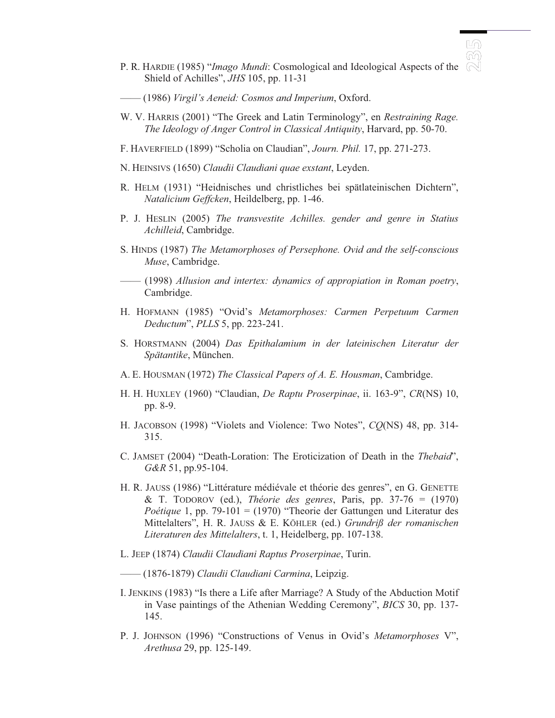- LW ൡ
- P. R. HARDIE (1985) "*Imago Mundi*: Cosmological and Ideological Aspects of the Shield of Achilles", *JHS* 105, pp. 11-31
- —— (1986) *Virgil's Aeneid: Cosmos and Imperium*, Oxford.
- W. V. HARRIS (2001) "The Greek and Latin Terminology", en *Restraining Rage. The Ideology of Anger Control in Classical Antiquity*, Harvard, pp. 50-70.
- F. HAVERFIELD (1899) "Scholia on Claudian", *Journ. Phil.* 17, pp. 271-273.
- N. HEINSIVS (1650) *Claudii Claudiani quae exstant*, Leyden.
- R. HELM (1931) "Heidnisches und christliches bei spätlateinischen Dichtern", *Natalicium Geffcken*, Heildelberg, pp. 1-46.
- P. J. HESLIN (2005) *The transvestite Achilles. gender and genre in Statius Achilleid*, Cambridge.
- S. HINDS (1987) *The Metamorphoses of Persephone. Ovid and the self-conscious Muse*, Cambridge.
- —— (1998) *Allusion and intertex: dynamics of appropiation in Roman poetry*, Cambridge.
- H. HOFMANN (1985) "Ovid's *Metamorphoses: Carmen Perpetuum Carmen Deductum*", *PLLS* 5, pp. 223-241.
- S. HORSTMANN (2004) *Das Epithalamium in der lateinischen Literatur der Spätantike*, München.
- A. E. HOUSMAN (1972) *The Classical Papers of A. E. Housman*, Cambridge.
- H. H. HUXLEY (1960) "Claudian, *De Raptu Proserpinae*, ii. 163-9", *CR*(NS) 10, pp. 8-9.
- H. JACOBSON (1998) "Violets and Violence: Two Notes", *CQ*(NS) 48, pp. 314- 315.
- C. JAMSET (2004) "Death-Loration: The Eroticization of Death in the *Thebaid*", *G&R* 51, pp.95-104.
- H. R. JAUSS (1986) "Littérature médiévale et théorie des genres", en G. GENETTE & T. TODOROV (ed.), *Théorie des genres*, Paris, pp. 37-76 = (1970) *Poétique* 1, pp. 79-101 = (1970) "Theorie der Gattungen und Literatur des Mittelalters", H. R. JAUSS & E. KÖHLER (ed.) *Grundriß der romanischen Literaturen des Mittelalters*, t. 1, Heidelberg, pp. 107-138.
- L. JEEP (1874) *Claudii Claudiani Raptus Proserpinae*, Turin.
- —— (1876-1879) *Claudii Claudiani Carmina*, Leipzig.
- I. JENKINS (1983) "Is there a Life after Marriage? A Study of the Abduction Motif in Vase paintings of the Athenian Wedding Ceremony", *BICS* 30, pp. 137- 145.
- P. J. JOHNSON (1996) "Constructions of Venus in Ovid's *Metamorphoses* V", *Arethusa* 29, pp. 125-149.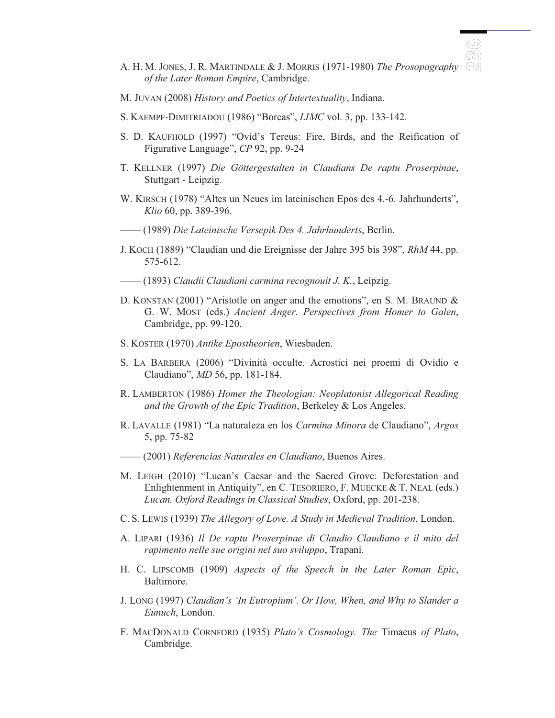- A. H. M. JONES, J. R. MARTINDALE & J. MORRIS (1971-1980) *The Prosopography of the Later Roman Empire*, Cambridge.
- M. JUVAN (2008) *History and Poetics of Intertextuality*, Indiana.
- S. KAEMPF-DIMITRIADOU (1986) "Boreas", *LIMC* vol. 3, pp. 133-142.
- S. D. KAUFHOLD (1997) "Ovid's Tereus: Fire, Birds, and the Reification of Figurative Language", *CP* 92, pp. 9-24
- T. KELLNER (1997) *Die Göttergestalten in Claudians De raptu Proserpinae*, Stuttgart - Leipzig.
- W. KIRSCH (1978) "Altes un Neues im lateinischen Epos des 4.-6. Jahrhunderts", *Klio* 60, pp. 389-396.
- —— (1989) *Die Lateinische Versepik Des 4. Jahrhunderts*, Berlin.
- J. KOCH (1889) "Claudian und die Ereignisse der Jahre 395 bis 398", *RhM* 44, pp. 575-612.
- —— (1893) *Claudii Claudiani carmina recognouit J. K.*, Leipzig.
- D. KONSTAN (2001) "Aristotle on anger and the emotions", en S. M. BRAUND & G. W. MOST (eds.) *Ancient Anger. Perspectives from Homer to Galen*, Cambridge, pp. 99-120.
- S. KOSTER (1970) *Antike Epostheorien*, Wiesbaden.
- S. LA BARBERA (2006) "Divinità occulte. Acrostici nei proemi di Ovidio e Claudiano", *MD* 56, pp. 181-184.
- R. LAMBERTON (1986) *Homer the Theologian: Neoplatonist Allegorical Reading and the Growth of the Epic Tradition*, Berkeley & Los Angeles.
- R. LAVALLE (1981) "La naturaleza en los *Carmina Minora* de Claudiano", *Argos* 5, pp. 75-82
- —— (2001) *Referencias Naturales en Claudiano*, Buenos Aires.
- M. LEIGH (2010) "Lucan's Caesar and the Sacred Grove: Deforestation and Enlightenment in Antiquity", en C. TESORIERO, F. MUECKE & T. NEAL (eds.) *Lucan. Oxford Readings in Classical Studies*, Oxford, pp. 201-238.
- C. S. LEWIS (1939) *The Allegory of Love. A Study in Medieval Tradition*, London.
- A. LIPARI (1936) *Il De raptu Proserpinae di Claudio Claudiano e il mito del rapimento nelle sue origini nel suo sviluppo*, Trapani.
- H. C. LIPSCOMB (1909) *Aspects of the Speech in the Later Roman Epic*, Baltimore.
- J. LONG (1997) *Claudian's 'In Eutropium'. Or How, When, and Why to Slander a Eunuch*, London.
- F. MACDONALD CORNFORD (1935) *Plato's Cosmology. The* Timaeus *of Plato*, Cambridge.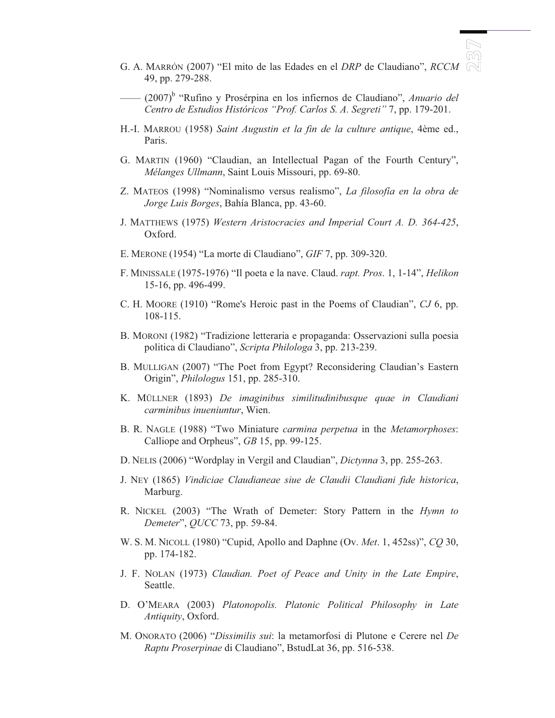G. A. MARRÓN (2007) "El mito de las Edades en el *DRP* de Claudiano", *RCCM* 49, pp. 279-288.

BN<br>B

- (2007)<sup>b</sup> "Rufino y Prosérpina en los infiernos de Claudiano", Anuario del *Centro de Estudios Históricos "Prof. Carlos S. A. Segreti"* 7, pp. 179-201.
- H.-I. MARROU (1958) *Saint Augustin et la fin de la culture antique*, 4ème ed., Paris.
- G. MARTIN (1960) "Claudian, an Intellectual Pagan of the Fourth Century", *Mélanges Ullmann*, Saint Louis Missouri, pp. 69-80.
- Z. MATEOS (1998) "Nominalismo versus realismo", *La filosofía en la obra de Jorge Luis Borges*, Bahía Blanca, pp. 43-60.
- J. MATTHEWS (1975) *Western Aristocracies and Imperial Court A. D. 364-425*, Oxford.
- E. MERONE (1954) "La morte di Claudiano", *GIF* 7, pp. 309-320.
- F. MINISSALE (1975-1976) "Il poeta e la nave. Claud. *rapt. Pros*. 1, 1-14", *Helikon* 15-16, pp. 496-499.
- C. H. MOORE (1910) "Rome's Heroic past in the Poems of Claudian", *CJ* 6, pp. 108-115.
- B. MORONI (1982) "Tradizione letteraria e propaganda: Osservazioni sulla poesia politica di Claudiano", *Scripta Philologa* 3, pp. 213-239.
- B. MULLIGAN (2007) "The Poet from Egypt? Reconsidering Claudian's Eastern Origin", *Philologus* 151, pp. 285-310.
- K. MÜLLNER (1893) *De imaginibus similitudinibusque quae in Claudiani carminibus inueniuntur*, Wien.
- B. R. NAGLE (1988) "Two Miniature *carmina perpetua* in the *Metamorphoses*: Calliope and Orpheus", *GB* 15, pp. 99-125.
- D. NELIS (2006) "Wordplay in Vergil and Claudian", *Dictynna* 3, pp. 255-263.
- J. NEY (1865) *Vindiciae Claudianeae siue de Claudii Claudiani fide historica*, Marburg.
- R. NICKEL (2003) "The Wrath of Demeter: Story Pattern in the *Hymn to Demeter*", *QUCC* 73, pp. 59-84.
- W. S. M. NICOLL (1980) "Cupid, Apollo and Daphne (Ov. *Met*. 1, 452ss)", *CQ* 30, pp. 174-182.
- J. F. NOLAN (1973) *Claudian. Poet of Peace and Unity in the Late Empire*, Seattle.
- D. O'MEARA (2003) *Platonopolis. Platonic Political Philosophy in Late Antiquity*, Oxford.
- M. ONORATO (2006) "*Dissimilis sui*: la metamorfosi di Plutone e Cerere nel *De Raptu Proserpinae* di Claudiano", BstudLat 36, pp. 516-538.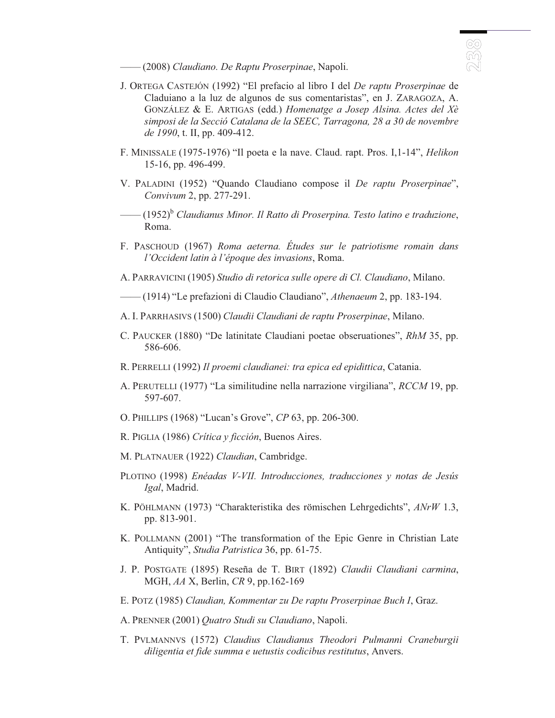—— (2008) *Claudiano. De Raptu Proserpinae*, Napoli.

J. ORTEGA CASTEJÓN (1992) "El prefacio al libro I del *De raptu Proserpinae* de Claduiano a la luz de algunos de sus comentaristas", en J. ZARAGOZA, A. GONZÁLEZ & E. ARTIGAS (edd.) *Homenatge a Josep Alsina. Actes del Xè simposi de la Secció Catalana de la SEEC, Tarragona, 28 a 30 de novembre de 1990*, t. II, pp. 409-412.

<u>ර</u><br>බ

- F. MINISSALE (1975-1976) "Il poeta e la nave. Claud. rapt. Pros. I,1-14", *Helikon* 15-16, pp. 496-499.
- V. PALADINI (1952) "Quando Claudiano compose il *De raptu Proserpinae*", *Convivum* 2, pp. 277-291.
- —— (1952)<sup>b</sup> *Claudianus Minor. Il Ratto di Proserpina. Testo latino e traduzione*, Roma.
- F. PASCHOUD (1967) *Roma aeterna. Études sur le patriotisme romain dans l'Occident latin à l'époque des invasions*, Roma.
- A. PARRAVICINI (1905) *Studio di retorica sulle opere di Cl. Claudiano*, Milano.
- —— (1914) "Le prefazioni di Claudio Claudiano", *Athenaeum* 2, pp. 183-194.
- A. I. PARRHASIVS (1500) *Claudii Claudiani de raptu Proserpinae*, Milano.
- C. PAUCKER (1880) "De latinitate Claudiani poetae obseruationes", *RhM* 35, pp. 586-606.
- R. PERRELLI (1992) *Il proemi claudianei: tra epica ed epidittica*, Catania.
- A. PERUTELLI (1977) "La similitudine nella narrazione virgiliana", *RCCM* 19, pp. 597-607.
- O. PHILLIPS (1968) "Lucan's Grove", *CP* 63, pp. 206-300.
- R. PIGLIA (1986) *Crítica y ficción*, Buenos Aires.
- M. PLATNAUER (1922) *Claudian*, Cambridge.
- PLOTINO (1998) *Enéadas V-VII. Introducciones, traducciones y notas de Jesús Igal*, Madrid.
- K. PÖHLMANN (1973) "Charakteristika des römischen Lehrgedichts", *ANrW* 1.3, pp. 813-901.
- K. POLLMANN (2001) "The transformation of the Epic Genre in Christian Late Antiquity", *Studia Patristica* 36, pp. 61-75.
- J. P. POSTGATE (1895) Reseña de T. BIRT (1892) *Claudii Claudiani carmina*, MGH, *AA* X, Berlin, *CR* 9, pp.162-169
- E. POTZ (1985) *Claudian, Kommentar zu De raptu Proserpinae Buch I*, Graz.
- A. PRENNER (2001) *Quatro Studi su Claudiano*, Napoli.
- T. PVLMANNVS (1572) *Claudius Claudianus Theodori Pulmanni Craneburgii diligentia et fide summa e uetustis codicibus restitutus*, Anvers.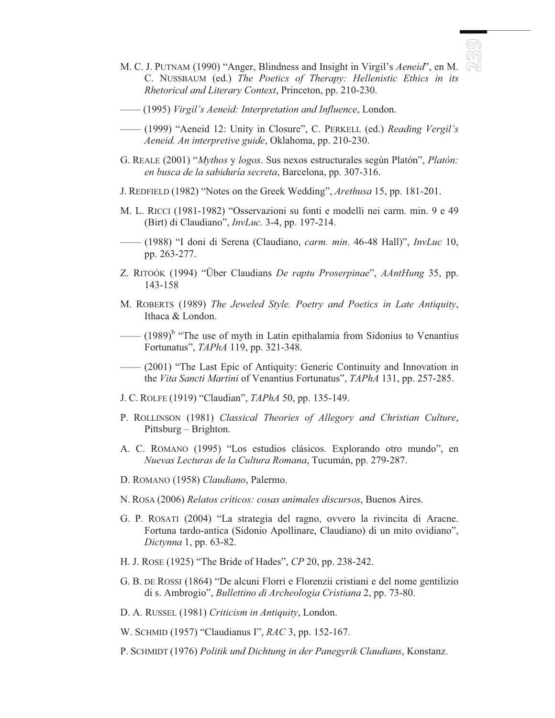

- M. C. J. PUTNAM (1990) "Anger, Blindness and Insight in Virgil's *Aeneid*", en M. C. NUSSBAUM (ed.) *The Poetics of Therapy: Hellenistic Ethics in its Rhetorical and Literary Context*, Princeton, pp. 210-230.
- —— (1995) *Virgil's Aeneid: Interpretation and Influence*, London.
- —— (1999) "Aeneid 12: Unity in Closure", C. PERKELL (ed.) *Reading Vergil's Aeneid. An interpretive guide*, Oklahoma, pp. 210-230.
- G. REALE (2001) "*Mythos* y *logos*. Sus nexos estructurales según Platón", *Platón: en busca de la sabiduría secreta*, Barcelona, pp. 307-316.
- J. REDFIELD (1982) "Notes on the Greek Wedding", *Arethusa* 15, pp. 181-201.
- M. L. RICCI (1981-1982) "Osservazioni su fonti e modelli nei carm. min. 9 e 49 (Birt) di Claudiano", *InvLuc.* 3-4, pp. 197-214.
- —— (1988) "I doni di Serena (Claudiano, *carm. min*. 46-48 Hall)", *InvLuc* 10, pp. 263-277.
- Z. RITOÓK (1994) "Über Claudians *De raptu Proserpinae*", *AAntHung* 35, pp. 143-158
- M. ROBERTS (1989) *The Jeweled Style. Poetry and Poetics in Late Antiquity*, Ithaca & London.
- $\sim$  (1989)<sup>b</sup> "The use of myth in Latin epithalamia from Sidonius to Venantius Fortunatus", *TAPhA* 119, pp. 321-348.
- —— (2001) "The Last Epic of Antiquity: Generic Continuity and Innovation in the *Vita Sancti Martini* of Venantius Fortunatus", *TAPhA* 131, pp. 257-285.
- J. C. ROLFE (1919) "Claudian", *TAPhA* 50, pp. 135-149.
- P. ROLLINSON (1981) *Classical Theories of Allegory and Christian Culture*, Pittsburg – Brighton.
- A. C. ROMANO (1995) "Los estudios clásicos. Explorando otro mundo", en *Nuevas Lecturas de la Cultura Romana*, Tucumán, pp. 279-287.
- D. ROMANO (1958) *Claudiano*, Palermo.
- N. ROSA (2006) *Relatos críticos: cosas animales discursos*, Buenos Aires.
- G. P. ROSATI (2004) "La strategia del ragno, ovvero la rivincita di Aracne. Fortuna tardo-antica (Sidonio Apollinare, Claudiano) di un mito ovidiano", *Dictynna* 1, pp. 63-82.
- H. J. ROSE (1925) "The Bride of Hades", *CP* 20, pp. 238-242.
- G. B. DE ROSSI (1864) "De alcuni Florri e Florenzii cristiani e del nome gentilizio di s. Ambrogio", *Bullettino di Archeologia Cristiana* 2, pp. 73-80.
- D. A. RUSSEL (1981) *Criticism in Antiquity*, London.

W. SCHMID (1957) "Claudianus I", *RAC* 3, pp. 152-167.

P. SCHMIDT (1976) *Politik und Dichtung in der Panegyrik Claudians*, Konstanz.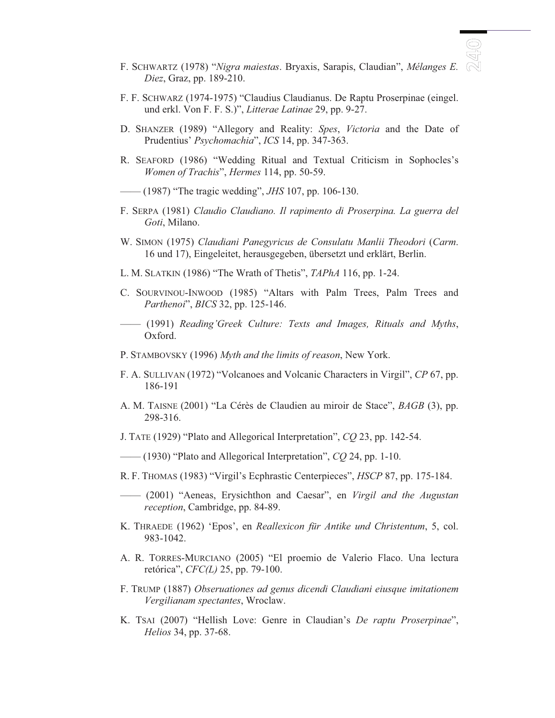- F. SCHWARTZ (1978) "*Nigra maiestas*. Bryaxis, Sarapis, Claudian", *Mélanges E. Diez*, Graz, pp. 189-210.
- F. F. SCHWARZ (1974-1975) "Claudius Claudianus. De Raptu Proserpinae (eingel. und erkl. Von F. F. S.)", *Litterae Latinae* 29, pp. 9-27.
- D. SHANZER (1989) "Allegory and Reality: *Spes*, *Victoria* and the Date of Prudentius' *Psychomachia*", *ICS* 14, pp. 347-363.
- R. SEAFORD (1986) "Wedding Ritual and Textual Criticism in Sophocles's *Women of Trachis*", *Hermes* 114, pp. 50-59.
- —— (1987) "The tragic wedding", *JHS* 107, pp. 106-130.
- F. SERPA (1981) *Claudio Claudiano. Il rapimento di Proserpina. La guerra del Goti*, Milano.
- W. SIMON (1975) *Claudiani Panegyricus de Consulatu Manlii Theodori* (*Carm*. 16 und 17), Eingeleitet, herausgegeben, übersetzt und erklärt, Berlin.
- L. M. SLATKIN (1986) "The Wrath of Thetis", *TAPhA* 116, pp. 1-24.
- C. SOURVINOU-INWOOD (1985) "Altars with Palm Trees, Palm Trees and *Parthenoi*", *BICS* 32, pp. 125-146.
- —— (1991) *Reading'Greek Culture: Texts and Images, Rituals and Myths*, Oxford.
- P. STAMBOVSKY (1996) *Myth and the limits of reason*, New York.
- F. A. SULLIVAN (1972) "Volcanoes and Volcanic Characters in Virgil", *CP* 67, pp. 186-191
- A. M. TAISNE (2001) "La Cérès de Claudien au miroir de Stace", *BAGB* (3), pp. 298-316.
- J. TATE (1929) "Plato and Allegorical Interpretation", *CQ* 23, pp. 142-54.
- —— (1930) "Plato and Allegorical Interpretation", *CQ* 24, pp. 1-10.
- R. F. THOMAS (1983) "Virgil's Ecphrastic Centerpieces", *HSCP* 87, pp. 175-184.
- —— (2001) "Aeneas, Erysichthon and Caesar", en *Virgil and the Augustan reception*, Cambridge, pp. 84-89.
- K. THRAEDE (1962) 'Epos', en *Reallexicon für Antike und Christentum*, 5, col. 983-1042.
- A. R. TORRES-MURCIANO (2005) "El proemio de Valerio Flaco. Una lectura retórica", *CFC(L)* 25, pp. 79-100.
- F. TRUMP (1887) *Obseruationes ad genus dicendi Claudiani eiusque imitationem Vergilianam spectantes*, Wroclaw.
- K. TSAI (2007) "Hellish Love: Genre in Claudian's *De raptu Proserpinae*", *Helios* 34, pp. 37-68.